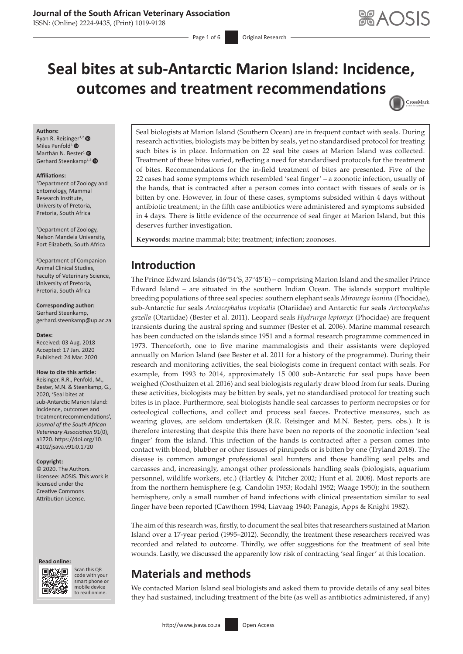## **Journal of the South African Veterinary Association**

ISSN: (Online) 2224-9435, (Print) 1019-9128

# **Seal bites at sub-Antarctic Marion Island: Incidence, outcomes and treatment recommendations** CrossMark

#### **Authors:**

Ryan R. Reisin[ger](https://orcid.org/0000-0001-9016-3142)<sup>1,[2](https://orcid.org/0000-0002-8933-6875)</sup> Miles Penfold<sup>3</sup> Marthán N. Bester<sup>[1](https://orcid.org/0000-0002-2265-764X)</sup> Gerhard Steenkamp<sup>1,[3](https://orcid.org/0000-0001-8428-7309)</sup>

#### **Affiliations:**

1 Department of Zoology and Entomology, Mammal Research Institute, University of Pretoria, Pretoria, South Africa

2 Department of Zoology, Nelson Mandela University, Port Elizabeth, South Africa

3 Department of Companion Animal Clinical Studies, Faculty of Veterinary Science, University of Pretoria, Pretoria, South Africa

**Corresponding author:** Gerhard Steenkamp, [gerhard.steenkamp@up.ac.za](mailto:gerhard.steenkamp@up.ac.za)

**Dates:**

Received: 03 Aug. 2018 Accepted: 17 Jan. 2020 Published: 24 Mar. 2020

#### **How to cite this article:**

Reisinger, R.R., Penfold, M., Bester, M.N. & Steenkamp, G., 2020, 'Seal bites at sub-Antarctic Marion Island: Incidence, outcomes and treatment recommendations', *Journal of the South African Veterinary Association* 91(0), a1720. [https://doi.org/10.](https://doi.org/10.4102/jsava.v91i0.1720) [4102/jsava.v91i0.1720](https://doi.org/10.4102/jsava.v91i0.1720)

**Copyright:**

© 2020. The Authors. Licensee: AOSIS. This work is licensed under the Creative Commons Attribution License.

#### **Read online: Read online:**



Scan this QR code with your Scan this QR<br>code with your<br>smart phone or<br>mobile device mobile device to read online. to read online.

Seal biologists at Marion Island (Southern Ocean) are in frequent contact with seals. During research activities, biologists may be bitten by seals, yet no standardised protocol for treating such bites is in place. Information on 22 seal bite cases at Marion Island was collected. Treatment of these bites varied, reflecting a need for standardised protocols for the treatment of bites. Recommendations for the in-field treatment of bites are presented. Five of the 22 cases had some symptoms which resembled 'seal finger' – a zoonotic infection, usually of the hands, that is contracted after a person comes into contact with tissues of seals or is bitten by one. However, in four of these cases, symptoms subsided within 4 days without antibiotic treatment; in the fifth case antibiotics were administered and symptoms subsided in 4 days. There is little evidence of the occurrence of seal finger at Marion Island, but this deserves further investigation.

**Keywords:** marine mammal; bite; treatment; infection; zoonoses.

# **Introduction**

The Prince Edward Islands (46°54'S, 37°45'E) – comprising Marion Island and the smaller Prince Edward Island – are situated in the southern Indian Ocean. The islands support multiple breeding populations of three seal species: southern elephant seals *Mirounga leonina* (Phocidae), sub-Antarctic fur seals *Arctocephalus tropicalis* (Otariidae) and Antarctic fur seals *Arctocephalus gazella* (Otariidae) (Bester et al. 2011). Leopard seals *Hydrurga leptonyx* (Phocidae) are frequent transients during the austral spring and summer (Bester et al. 2006). Marine mammal research has been conducted on the islands since 1951 and a formal research programme commenced in 1973. Thenceforth, one to five marine mammalogists and their assistants were deployed annually on Marion Island (see Bester et al. 2011 for a history of the programme). During their research and monitoring activities, the seal biologists come in frequent contact with seals. For example, from 1993 to 2014, approximately 15 000 sub-Antarctic fur seal pups have been weighed (Oosthuizen et al. 2016) and seal biologists regularly draw blood from fur seals. During these activities, biologists may be bitten by seals, yet no standardised protocol for treating such bites is in place. Furthermore, seal biologists handle seal carcasses to perform necropsies or for osteological collections, and collect and process seal faeces. Protective measures, such as wearing gloves, are seldom undertaken (R.R. Reisinger and M.N. Bester, pers. obs.). It is therefore interesting that despite this there have been no reports of the zoonotic infection 'seal finger' from the island. This infection of the hands is contracted after a person comes into contact with blood, blubber or other tissues of pinnipeds or is bitten by one (Tryland 2018). The disease is common amongst professional seal hunters and those handling seal pelts and carcasses and, increasingly, amongst other professionals handling seals (biologists, aquarium personnel, wildlife workers, etc.) (Hartley & Pitcher 2002; Hunt et al. 2008). Most reports are from the northern hemisphere (e.g. Candolin 1953; Rodahl 1952; Waage 1950); in the southern hemisphere, only a small number of hand infections with clinical presentation similar to seal finger have been reported (Cawthorn 1994; Liavaag 1940; Panagis, Apps & Knight 1982).

The aim of this research was, firstly, to document the seal bites that researchers sustained at Marion Island over a 17-year period (1995–2012). Secondly, the treatment these researchers received was recorded and related to outcome. Thirdly, we offer suggestions for the treatment of seal bite wounds. Lastly, we discussed the apparently low risk of contracting 'seal finger' at this location.

# **Materials and methods**

We contacted Marion Island seal biologists and asked them to provide details of any seal bites they had sustained, including treatment of the bite (as well as antibiotics administered, if any)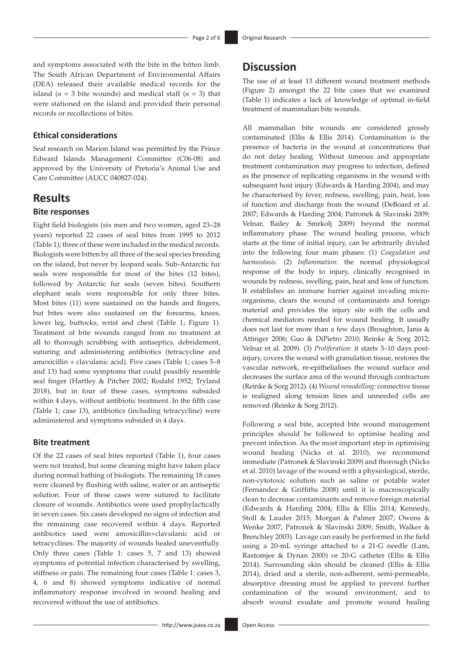and symptoms associated with the bite in the bitten limb. The South African Department of Environmental Affairs (DEA) released their available medical records for the island  $(n = 3$  bite wounds) and medical staff  $(n = 3)$  that were stationed on the island and provided their personal records or recollections of bites.

### **Ethical considerations**

Seal research on Marion Island was permitted by the Prince Edward Islands Management Committee (C06-08) and approved by the University of Pretoria's Animal Use and Care Committee (AUCC 040827-024).

## **Results Bite responses**

Eight field biologists (six men and two women, aged 23–28 years) reported 22 cases of seal bites from 1995 to 2012 (Table 1); three of these were included in the medical records. Biologists were bitten by all three of the seal species breeding on the island, but never by leopard seals. Sub-Antarctic fur seals were responsible for most of the bites (12 bites), followed by Antarctic fur seals (seven bites). Southern elephant seals were responsible for only three bites. Most bites (11) were sustained on the hands and fingers, but bites were also sustained on the forearms, knees, lower leg, buttocks, wrist and chest (Table 1; Figure 1). Treatment of bite wounds ranged from no treatment at all to thorough scrubbing with antiseptics, debridement, suturing and administering antibiotics (tetracycline and amoxicillin + clavulanic acid). Five cases (Table 1; cases 5–8 and 13) had some symptoms that could possibly resemble seal finger (Hartley & Pitcher 2002; Rodahl 1952; Tryland 2018), but in four of these cases, symptoms subsided within 4 days, without antibiotic treatment. In the fifth case (Table 1; case 13), antibiotics (including tetracycline) were administered and symptoms subsided in 4 days.

### **Bite treatment**

Of the 22 cases of seal bites reported (Table 1), four cases were not treated, but some cleaning might have taken place during normal bathing of biologists. The remaining 18 cases were cleaned by flushing with saline, water or an antiseptic solution. Four of these cases were sutured to facilitate closure of wounds. Antibiotics were used prophylactically in seven cases. Six cases developed no signs of infection and the remaining case recovered within 4 days. Reported antibiotics used were amoxicillin+clavulanic acid or tetracyclines. The majority of wounds healed uneventfully. Only three cases (Table 1: cases 5, 7 and 13) showed symptoms of potential infection characterised by swelling, stiffness or pain. The remaining four cases (Table 1: cases 3, 4, 6 and 8) showed symptoms indicative of normal inflammatory response involved in wound healing and recovered without the use of antibiotics.

The use of at least 13 different wound treatment methods (Figure 2) amongst the 22 bite cases that we examined (Table 1) indicates a lack of knowledge of optimal in-field treatment of mammalian bite wounds.

All mammalian bite wounds are considered grossly contaminated (Ellis & Ellis 2014). Contamination is the presence of bacteria in the wound at concentrations that do not delay healing. Without timeous and appropriate treatment contamination may progress to infection, defined as the presence of replicating organisms in the wound with subsequent host injury (Edwards & Harding 2004), and may be characterised by fever, redness, swelling, pain, heat, loss of function and discharge from the wound (DeBoard et al. 2007; Edwards & Harding 2004; Patronek & Slavinski 2009; Velnar, Bailey & Smrkolj 2009) beyond the normal inflammatory phase. The wound healing process, which starts at the time of initial injury, can be arbitrarily divided into the following four main phases: (1) *Coagulation and haemostasis*. (2) *Inflammation*: the normal physiological response of the body to injury, clinically recognised in wounds by redness, swelling, pain, heat and loss of function. It establishes an immune barrier against invading microorganisms, clears the wound of contaminants and foreign material and provides the injury site with the cells and chemical mediators needed for wound healing. It usually does not last for more than a few days (Broughton, Janis & Attinger 2006; Guo & DiPietro 2010; Reinke & Sorg 2012; Velnar et al. 2009). (3) *Proliferation*: it starts 3–10 days postinjury, covers the wound with granulation tissue, restores the vascular network, re-epithelialises the wound surface and decreases the surface area of the wound through contracture (Reinke & Sorg 2012). (4) *Wound remodelling*: connective tissue is realigned along tension lines and unneeded cells are removed (Reinke & Sorg 2012).

Following a seal bite, accepted bite wound management principles should be followed to optimise healing and prevent infection. As the most important step in optimising wound healing (Nicks et al. 2010), we recommend immediate (Patronek & Slavinski 2009) and thorough (Nicks et al. 2010) lavage of the wound with a physiological, sterile, non-cytotoxic solution such as saline or potable water (Fernandez & Griffiths 2008) until it is macroscopically clean to decrease contaminants and remove foreign material (Edwards & Harding 2004; Ellis & Ellis 2014; Kennedy, Stoll & Lauder 2015; Morgan & Palmer 2007; Owens & Wenke 2007; Patronek & Slavinski 2009; Smith, Walker & Brenchley 2003). Lavage can easily be performed in the field using a 20-mL syringe attached to a 21-G needle (Lam, Rastomjee & Dynan 2000) or 20-G catheter (Ellis & Ellis 2014). Surrounding skin should be cleaned (Ellis & Ellis 2014), dried and a sterile, non-adherent, semi-permeable, absorptive dressing must be applied to prevent further contamination of the wound environment, and to absorb wound exudate and promote wound healing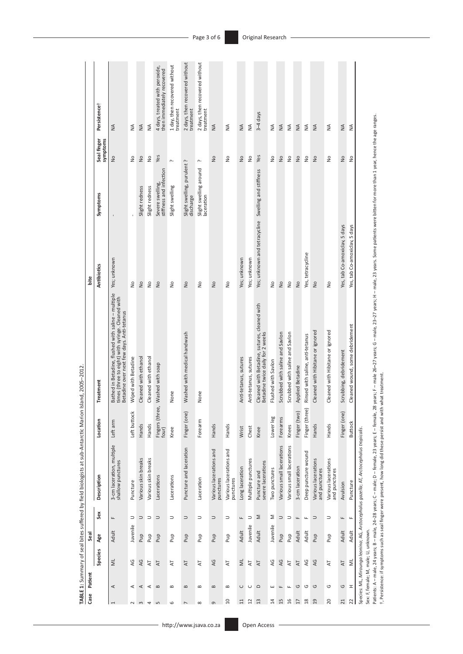| i              |                                      |                         |          | Fu ny                  |                                                                                         | laila illu,<br><b>SUD-MILAILLE IVIAILU</b> |                                                                                                                                                      |                                                      |                                                    |                         |                                                              |
|----------------|--------------------------------------|-------------------------|----------|------------------------|-----------------------------------------------------------------------------------------|--------------------------------------------|------------------------------------------------------------------------------------------------------------------------------------------------------|------------------------------------------------------|----------------------------------------------------|-------------------------|--------------------------------------------------------------|
|                | Case Patient                         |                         | Seal     |                        |                                                                                         |                                            |                                                                                                                                                      | bite                                                 |                                                    |                         |                                                              |
|                |                                      | Species                 | Age      | Sex                    | Description                                                                             | Location                                   | Treatment                                                                                                                                            | Antibiotics                                          | Symptoms                                           | Seal finger<br>symptoms | Persistence <sup>+</sup>                                     |
|                | $\prec$                              | $\leq$                  | Adult    | щ                      | 3-cm laceration, multiple<br>shallow punctures                                          | Left arm                                   | Bathed in Betadine, flushed with saline - multiple<br>times (three to eight) with syringe. Cleaned with<br>Betadine over next few days. Anti-tetanus | Yes; unknown                                         | $\frac{1}{2}$                                      |                         | $\leq$                                                       |
|                | ⋖                                    | AG                      | Juvenile | $\supset$              | Puncture                                                                                | Left buttock                               | Wiped with Betadine                                                                                                                                  | $\frac{1}{2}$                                        | $\stackrel{\circ}{\simeq}$                         |                         | $\frac{4}{2}$                                                |
| $\infty$       | $\prec$                              | AG                      | Pup      | $\supset$              | Various skin breaks                                                                     | Hands                                      | Cleaned with ethanol                                                                                                                                 | $\frac{1}{2}$                                        | $\frac{1}{2}$<br>Slight redness                    |                         | $\frac{4}{2}$                                                |
|                | ⋖                                    | $\overline{\mathsf{A}}$ | quq      | $\supset$              | Various skin breaks                                                                     | Hands                                      | Cleaned with ethanol                                                                                                                                 | $\stackrel{\circ}{\simeq}$                           | $\stackrel{\circ}{\simeq}$<br>Slight redness       |                         | $\lessapprox$                                                |
|                | $\mathbf{\underline{\omega}}$        | $\overline{\mathsf{A}}$ | Pup      | $\supset$              | Lacerations                                                                             | Fingers (three,<br>four)                   | Washed with soap                                                                                                                                     | $\frac{1}{2}$                                        | Yes<br>stiffness and infection<br>Severe swelling, |                         | 4 days, treated with peroxide,<br>then immediately recovered |
| 6              | $\mathbf{\underline{\infty}}$        | 호                       | pup      | $\supset$              | Lacerations                                                                             | Knee                                       | None                                                                                                                                                 | $\frac{1}{2}$                                        | <b>C-</b><br>Slight swelling                       |                         | 1 day, then recovered without<br>treatment                   |
|                | $\mathbf{\underline{\infty}}$        | R                       | Pup      | $\supset$              | Puncture and laceration                                                                 | Finger (one)                               | Washed with medical handwash                                                                                                                         | $\frac{1}{2}$                                        | r.,<br>Slight swelling, purulent<br>discharge      |                         | 2 days, then recovered without<br>treatment                  |
| ${}^{\circ}$   | $\bf{m}$                             | k                       | Pup      | $\supset$              | Laceration                                                                              | Forearm                                    | None                                                                                                                                                 | $\frac{1}{2}$                                        | r.<br>Slight swelling around<br>laceration         |                         | 2 days, then recovered without<br>treatment                  |
| G              | $\mathbf{\underline{\omega}}$        | AG                      | Pup      | $\supset$              | Various lacerations and<br>punctures                                                    | Hands                                      |                                                                                                                                                      | $\frac{1}{2}$                                        | $\frac{1}{2}$                                      |                         | $\leq$                                                       |
| 10             | $\mathbf{\underline{\infty}}$        | R                       | pup      | $\supset$              | Various lacerations and<br>punctures                                                    | Hands                                      |                                                                                                                                                      | $\frac{1}{2}$                                        | $\frac{1}{2}$                                      |                         | ≸                                                            |
| $\Box$         | $\cup$                               | $\overline{\leq}$       | Adult    | щ                      | Long laceration                                                                         | Wrist                                      | Anti-tetanus, sutures                                                                                                                                | Yes; unknown                                         | $\frac{1}{2}$                                      |                         | $\frac{4}{2}$                                                |
| $\overline{c}$ | $\circ$                              | $\overline{\mathbf{A}}$ | Juvenile | $\supset$              | Multiple punctures                                                                      | Chest                                      | Anti-tetanus, sutures                                                                                                                                | Yes; unknown                                         | $\stackrel{\circ}{\simeq}$                         |                         | $\lessgtr$                                                   |
| 13             | $\Box$                               | $\overline{\mathsf{A}}$ | Adult    | Σ                      | severe lacerations<br>Puncture and                                                      | Knee                                       | Cleaned with Betadine, sutures, cleaned with<br>Betadine twice daily for 2 weeks                                                                     | Yes; unknown and tetracycline Swelling and stiffness | Yes                                                |                         | $3-4$ days                                                   |
| 14             | ш                                    | АG                      | Juvenile | Σ                      | Two punctures                                                                           | Lower leg                                  | Flushed with Savlon                                                                                                                                  | $\frac{1}{2}$                                        | å                                                  |                         | $\frac{1}{2}$                                                |
| 15             | щ                                    | AG                      | Pup      | $\supset$              | Various small lacerations                                                               | Forearms                                   | Scrubbed with saline and Savlon                                                                                                                      | $\frac{1}{2}$                                        | $\frac{1}{2}$                                      |                         | $\frac{4}{2}$                                                |
| 16             | Щ                                    | $\overline{\mathsf{A}}$ | Pup      | $\supset$              | Various small lacerations                                                               | Knees                                      | Scrubbed with saline and Savlon                                                                                                                      | $\stackrel{\circ}{\simeq}$                           | $\stackrel{\circ}{\simeq}$                         |                         | ₹                                                            |
| 17             | G                                    | $\overline{A}$          | Adult    | щ                      | 3-cm laceration                                                                         | Finger (two)                               | Applied Betadine                                                                                                                                     | $\frac{1}{2}$                                        | $\frac{1}{2}$                                      |                         | $\lessgtr$                                                   |
| 18             | G                                    | AC                      | Adult    | Щ                      | Deep puncture wound                                                                     | Finger (three)                             | Rinsed with saline, anti-tetanus                                                                                                                     | Yes, tetracycline                                    | $\stackrel{\circ}{\simeq}$                         |                         | $\lessgtr$                                                   |
| 19             | G                                    | AG                      | Pup      | $\supset$              | Various lacerations<br>and punctures                                                    | Hands                                      | Cleaned with Hibitane or ignored                                                                                                                     | $\frac{1}{2}$                                        | $\frac{1}{2}$                                      |                         | $\frac{4}{2}$                                                |
| 20             | G                                    | R                       | Pup      | ⊃                      | Various lacerations<br>and punctures                                                    | Hands                                      | Cleaned with Hibitane or ignored                                                                                                                     | $\frac{1}{2}$                                        | $\frac{1}{2}$                                      |                         | ₹                                                            |
| 21             | U                                    | $\overline{A}$          | Adult    | щ                      | Avulsion                                                                                | Finger (one)                               | Scrubbing, debridement                                                                                                                               | Yes, tab Co-amoxiclav, 5 days                        | $\frac{1}{2}$                                      |                         | $\stackrel{\triangle}{\geq}$                                 |
| 22             | H                                    | $\leq$                  | Adult    | $\mathsf{L}\mathsf{L}$ | Puncture                                                                                | <b>Buttock</b>                             | Cleaned wound, some debridement                                                                                                                      | Yes, tab Co-amoxiclav, 5 days                        | $\frac{1}{2}$                                      |                         | ₹                                                            |
|                | Sex: F. female: M. male: U. unknown. |                         |          |                        | Species: ML, Mirounga leonina; AG, Arctocephalus gazella; AT, Arctocephalus tropicalis. |                                            |                                                                                                                                                      |                                                      |                                                    |                         |                                                              |

mary of seal bites suffered by field biologists at sub-Antarctic Marion Island, 2005–2012. **TABLE 1:** Summary of seal bites suffered by field biologists at sub-Antarctic Marion Island, 2005–2012. TARI F 1: Sum

 $-$  Page 3 of 6 **Original Research** -

Sex: F, female; M, male; U, unknown.<br>Patients: A – male, 24 para, 24–28 years; C – male; D – female, 23 years; F – male, 26–27 years; G – male, 23-27 years; H – male, 23 years, some patients were bitten for more than 1 yea Patients: A – male, 24 years; B – male; D – female; D – female; 23 years; E – male, 26 years; P – male, 22–27 years; H – male, 23 years. Some patients were bitten for more than 1 year, hence the age ranges. †, Persistence: if symptoms such as seal finger were present, how long did these persist and with what treatment.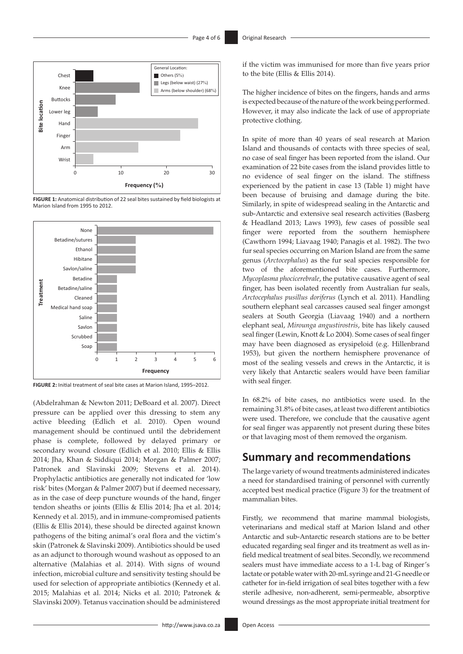

**FIGURE 1:** Anatomical distribution of 22 seal bites sustained by field biologists at Marion Island from 1995 to 2012.



**FIGURE 2:** Initial treatment of seal bite cases at Marion Island, 1995–2012.

(Abdelrahman & Newton 2011; DeBoard et al. 2007). Direct pressure can be applied over this dressing to stem any active bleeding (Edlich et al. 2010). Open wound management should be continued until the debridement phase is complete, followed by delayed primary or secondary wound closure (Edlich et al. 2010; Ellis & Ellis 2014; Jha, Khan & Siddiqui 2014; Morgan & Palmer 2007; Patronek and Slavinski 2009; Stevens et al. 2014). Prophylactic antibiotics are generally not indicated for 'low risk' bites (Morgan & Palmer 2007) but if deemed necessary, as in the case of deep puncture wounds of the hand, finger tendon sheaths or joints (Ellis & Ellis 2014; Jha et al. 2014; Kennedy et al. 2015), and in immune-compromised patients (Ellis & Ellis 2014), these should be directed against known pathogens of the biting animal's oral flora and the victim's skin (Patronek & Slavinski 2009). Antibiotics should be used as an adjunct to thorough wound washout as opposed to an alternative (Malahias et al. 2014). With signs of wound infection, microbial culture and sensitivity testing should be used for selection of appropriate antibiotics (Kennedy et al. 2015; Malahias et al. 2014; Nicks et al. 2010; Patronek & Slavinski 2009). Tetanus vaccination should be administered

if the victim was immunised for more than five years prior to the bite (Ellis & Ellis 2014).

The higher incidence of bites on the fingers, hands and arms is expected because of the nature of the work being performed. However, it may also indicate the lack of use of appropriate protective clothing.

In spite of more than 40 years of seal research at Marion Island and thousands of contacts with three species of seal, no case of seal finger has been reported from the island. Our examination of 22 bite cases from the island provides little to no evidence of seal finger on the island. The stiffness experienced by the patient in case 13 (Table 1) might have been because of bruising and damage during the bite. Similarly, in spite of widespread sealing in the Antarctic and sub-Antarctic and extensive seal research activities (Basberg & Headland 2013; Laws 1993), few cases of possible seal finger were reported from the southern hemisphere (Cawthorn 1994; Liavaag 1940; Panagis et al. 1982). The two fur seal species occurring on Marion Island are from the same genus (*Arctocephalus*) as the fur seal species responsible for two of the aforementioned bite cases. Furthermore, *Mycoplasma phocicerebrale*, the putative causative agent of seal finger, has been isolated recently from Australian fur seals, *Arctocephalus pusillus doriferus* (Lynch et al. 2011). Handling southern elephant seal carcasses caused seal finger amongst sealers at South Georgia (Liavaag 1940) and a northern elephant seal, *Mirounga angustirostris*, bite has likely caused seal finger (Lewin, Knott & Lo 2004). Some cases of seal finger may have been diagnosed as erysipeloid (e.g. Hillenbrand 1953), but given the northern hemisphere provenance of most of the sealing vessels and crews in the Antarctic, it is very likely that Antarctic sealers would have been familiar with seal finger.

In 68.2% of bite cases, no antibiotics were used. In the remaining 31.8% of bite cases, at least two different antibiotics were used. Therefore, we conclude that the causative agent for seal finger was apparently not present during these bites or that lavaging most of them removed the organism.

# **Summary and recommendations**

The large variety of wound treatments administered indicates a need for standardised training of personnel with currently accepted best medical practice (Figure 3) for the treatment of mammalian bites.

Firstly, we recommend that marine mammal biologists, veterinarians and medical staff at Marion Island and other Antarctic and sub-Antarctic research stations are to be better educated regarding seal finger and its treatment as well as infield medical treatment of seal bites. Secondly, we recommend sealers must have immediate access to a 1-L bag of Ringer's lactate or potable water with 20-mL syringe and 21-G needle or catheter for in-field irrigation of seal bites together with a few sterile adhesive, non-adherent, semi-permeable, absorptive wound dressings as the most appropriate initial treatment for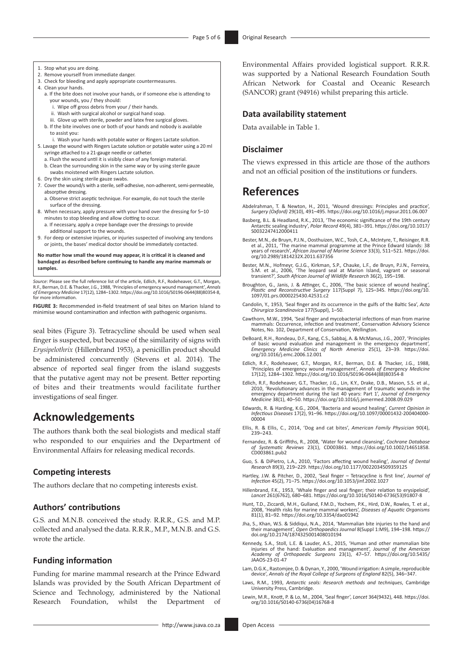2. Remove yourself from immediate danger. 3. Check for bleeding and apply appropriate countermeasures. 4. Clean your hands. a. If the bite does not involve your hands, or if someone else is attending to your wounds, you / they should: i. Wipe off gross debris from your / their hands. ii. Wash with surgical alcohol or surgical hand soap. iii. Glove up with sterile, powder and latex free surgical gloves. b. If the bite involves one or both of your hands and nobody is available to assist you: i. Wash your hands with potable water or Ringers Lactate solution. 5. Lavage the wound with Ringers Lactate solution or potable water using a 20 ml syringe attached to a 21-gauge needle or catheter. a. Flush the wound until it is visibly clean of any foreign material. b. Clean the surrounding skin in the same way or by using sterile gauze swabs moistened with Ringers Lactate solution. 6. Dry the skin using sterile gauze swabs. 7. Cover the wound/s with a sterile, self-adhesive, non-adherent, semi-permeable, absorptive dressing. a. Observe strict aseptic technique. For example, do not touch the sterile surface of the dressing. 8. When necessary, apply pressure with your hand over the dressing for 5–10 minutes to stop bleeding and allow clotting to occur. a. If necessary, apply a crepe bandage over the dressings to provide additional support to the wounds. 9. For deep or extensive injuries, or injuries suspected of involving any tendons or joints, the bases' medical doctor should be immediately contacted. No matter how small the wound may appear, it is critical it is cleaned and bandaged as described before continuing to handle any marine mammals or **samples.** *Source*: Please see the full reference list of the article, Edlich, R.F., Rodeheaver, G.T., Morgan,

R.F., Berman, D.E. & Thacker, J.G., 1988, 'Principles of emergency wound management', *Annals of Emergency Medicine* 17(12), 1284–1302. [https://doi.org/10.1016/S0196-0644\(88\)80354-8,](https://doi.org/10.1016/S0196-0644(88)80354-8) for more information.

**FIGURE 3:** Recommended in-field treatment of seal bites on Marion Island to minimise wound contamination and infection with pathogenic organisms.

seal bites (Figure 3). Tetracycline should be used when seal finger is suspected, but because of the similarity of signs with *Erysipelothrix* (Hillenbrand 1953), a penicillin product should be administered concurrently (Stevens et al. 2014). The absence of reported seal finger from the island suggests that the putative agent may not be present. Better reporting of bites and their treatments would facilitate further investigations of seal finger.

# **Acknowledgements**

The authors thank both the seal biologists and medical staff who responded to our enquiries and the Department of Environmental Affairs for releasing medical records.

#### **Competing interests**

1. Stop what you are doing.

The authors declare that no competing interests exist.

#### **Authors' contributions**

G.S. and M.N.B. conceived the study. R.R.R., G.S. and M.P. collected and analysed the data. R.R.R., M.P., M.N.B. and G.S. wrote the article.

#### **Funding information**

Funding for marine mammal research at the Prince Edward Islands was provided by the South African Department of Science and Technology, administered by the National Research Foundation, whilst the Department of Environmental Affairs provided logistical support. R.R.R. was supported by a National Research Foundation South African Network for Coastal and Oceanic Research (SANCOR) grant (94916) whilst preparing this article.

### **Data availability statement**

Data available in Table 1.

#### **Disclaimer**

The views expressed in this article are those of the authors and not an official position of the institutions or funders.

## **References**

Abdelrahman, T. & Newton, H., 2011, 'Wound dressings: Principles and practice', *Surgery (Oxford)* 29(10), 491–495.<https://doi.org/10.1016/j.mpsur.2011.06.007>

- Basberg, B.L. & Headland, R.K., 2013, 'The economic significance of the 19th century Antarctic sealing industry', *Polar Record* 49(4), 381–391. [https://doi.org/10.1017/](https://doi.org/10.1017/S0032247412000411) [S0032247412000411](https://doi.org/10.1017/S0032247412000411)
- Bester, M.N., de Bruyn, P.J.N., Oosthuizen, W.C., Tosh, C.A., McIntyre, T., Reisinger, R.R. et al., 2011, 'The marine mammal programme at the Prince Edward Islands: 38 years of research', *African Journal of Marine Science* 33(3), 511–521. [https://doi.](https://doi.org/10.2989/1814232X.2011.637356) [org/10.2989/1814232X.2011.637356](https://doi.org/10.2989/1814232X.2011.637356)
- Bester, M.N., Hofmeyr, G.J.G., Kirkman, S.P., Chauke, L.F., de Bruyn, P.J.N., Ferreira, S.M. et al., 2006, 'The leopard seal at Marion Island, vagrant or seasonal transient?', *South African Journal of Wildlife Research* 36(2), 195–198.
- Broughton, G., Janis, J. & Attinger, C., 2006, 'The basic science of wound healing', *Plastic and Reconstructive Surgery* 117(Suppl 7), 12S–34S. [https://doi.org/10.](https://doi.org/10.1097/01.prs.0000225430.42531.c2) [1097/01.prs.0000225430.42531.c2](https://doi.org/10.1097/01.prs.0000225430.42531.c2)
- Candolin, Y., 1953, 'Seal finger and its occurrence in the gulfs of the Baltic Sea', *Acta Chirurgica Scandinavica* 177(Suppl), 1–50.
- Cawthorn, M.W., 1994, 'Seal finger and mycobacterial infections of man from marine mammals: Occurrence, infection and treatment', Conservation Advisory Science Notes, No. 102, Department of Conservation, Wellington.
- DeBoard, R.H., Rondeau, D.F., Kang, C.S., Sabbaj, A. & McManus, J.G., 2007, 'Principles of basic wound evaluation and management in the emergency department', *Emergency Medicine Clinics of North America* 25(1), 23–39. [https://doi.](https://doi.org/10.1016/j.emc.2006.12.001) [org/10.1016/j.emc.2006.12.001](https://doi.org/10.1016/j.emc.2006.12.001)
- Edlich, R.F., Rodeheaver, G.T., Morgan, R.F., Berman, D.E. & Thacker, J.G., 1988, 'Principles of emergency wound management', *Annals of Emergency Medicine*  17(12), 1284–1302. [https://doi.org/10.1016/S0196-0644\(88\)80354-8](https://doi.org/10.1016/S0196-0644(88)80354-8)
- Edlich, R.F., Rodeheaver, G.T., Thacker, J.G., Lin, K.Y., Drake, D.B., Mason, S.S. et al., 2010, 'Revolutionary advances in the management of traumatic wounds in the emergency department during the last 40 years: Part 1', *Journal of Emergency Medicine* 38(1), 40–50. <https://doi.org/10.1016/j.jemermed.2008.09.029>
- Edwards, R. & Harding, K.G., 2004, 'Bacteria and wound healing', *Current Opinion in Infectious Diseases* 17(2), 91–96. [https://doi.org/10.1097/00001432-200404000-](https://doi.org/10.1097/00001432-200404000-00004) [00004](https://doi.org/10.1097/00001432-200404000-00004)
- Ellis, R. & Ellis, C., 2014, 'Dog and cat bites', *American Family Physician* 90(4), 239–243.
- Fernandez, R. & Griffiths, R., 2008, 'Water for wound cleansing', *Cochrane Database of Systematic Reviews* 23(1), CD003861. [https://doi.org/10.1002/14651858.](https://doi.org/10.1002/14651858.CD003861.pub2) [CD003861.pub2](https://doi.org/10.1002/14651858.CD003861.pub2)
- Guo, S. & DiPietro, L.A., 2010, 'Factors affecting wound healing', *Journal of Dental Research* 89(3), 219–229. <https://doi.org/10.1177/0022034509359125>
- Hartley, J.W. & Pitcher, D., 2002, 'Seal finger Tetracycline is first line', *Journal of Infection* 45(2), 71–75. <https://doi.org/10.1053/jinf.2002.1027>
- Hillenbrand, F.K., 1953, 'Whale finger and seal finger; their relation to erysipeloid', *Lancet* 261(6762), 680–681. [https://doi.org/10.1016/S0140-6736\(53\)91807-8](https://doi.org/10.1016/S0140-6736(53)91807-8)
- Hunt, T.D., Ziccardi, M.H., Gulland, F.M.D., Yochem, P.K., Hird, D.W., Rowles, T. et al., 2008, 'Health risks for marine mammal workers', *Diseases of Aquatic Organisms* 81(1), 81–92.<https://doi.org/10.3354/dao01942>
- Jha, S., Khan, W.S. & Siddiqui, N.A., 2014, 'Mammalian bite injuries to the hand and their management', *Open Orthopaedics Journal* 8(Suppl 1:M9), 194–198. [https://](https://doi.org/10.2174/1874325001408010194) [doi.org/10.2174/1874325001408010194](https://doi.org/10.2174/1874325001408010194)
- Kennedy, S.A., Stoll, L.E. & Lauder, A.S., 2015, 'Human and other mammalian bite injuries of the hand: Evaluation and management', *Journal of the American Academy of Orthopaedic Surgeons* 23(1), 47–57. [https://doi.org/10.5435/](https://doi.org/10.5435/JAAOS-23-01-47) [JAAOS-23-01-47](https://doi.org/10.5435/JAAOS-23-01-47)
- Lam, D.G.K., Rastomjee, D. & Dynan, Y., 2000, 'Wound irrigation: A simple, reproducible device', *Annals of the Royal College of Surgeons of England* 82(5), 346–347.
- Laws, R.M., 1993, *Antarctic seals: Research methods and techniques*, Cambridge University Press, Cambridge.
- Lewin, M.R., Knott, P. & Lo, M., 2004, 'Seal finger', *Lancet* 364(9432), 448. [https://doi.](https://doi.org/10.1016/S0140-6736(04)16768-8) [org/10.1016/S0140-6736\(04\)16768-8](https://doi.org/10.1016/S0140-6736(04)16768-8)